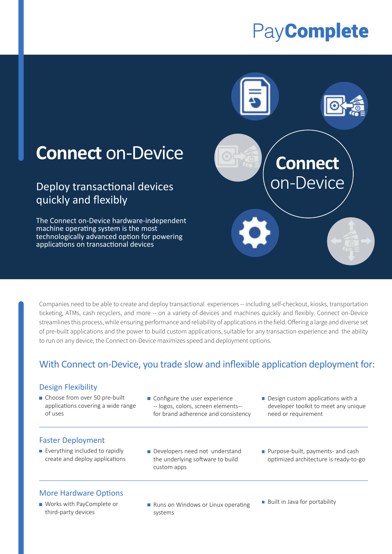# PayComplete



# **Connect** on-Device

## Deploy transactional devices quickly and flexibly

The Connect on-Device hardware-independent machine operating system is the most technologically advanced option for powering applications on transactional devices

Companies need to be able to create and deploy transactional experiences -- including self-checkout, kiosks, transportation ticketing, ATMs, cash recyclers, and more -- on a variety of devices and machines quickly and flexibly. Connect on-Device streamlines this process, while ensuring performance and reliability of applications in the field. Offering a large and diverse set of pre-built applications and the power to build custom applications, suitable for any transaction experience and the ability to run on any device, the Connect on-Device maximizes speed and deployment options.

## With Connect on-Device, you trade slow and inflexible application deployment for:

## Design Flexibility

- Choose from over 50 pre-built applications covering a wide range of uses
- Configure the user experience -- logos, colors, screen elements-- for brand adherence and consistency
- Design custom applications with a developer toolkit to meet any unique need or requirement

## Faster Deployment

- $\blacksquare$  Everything included to rapidly create and deploy applications
- Developers need not understand the underlying software to build custom apps
- **Purpose-built, payments- and cash**  optimized architecture is ready-to-go

## More Hardware Options

- Works with PayComplete or third-party devices
- Runs on Windows or Linux operating systems
- **Built in Java for portability**